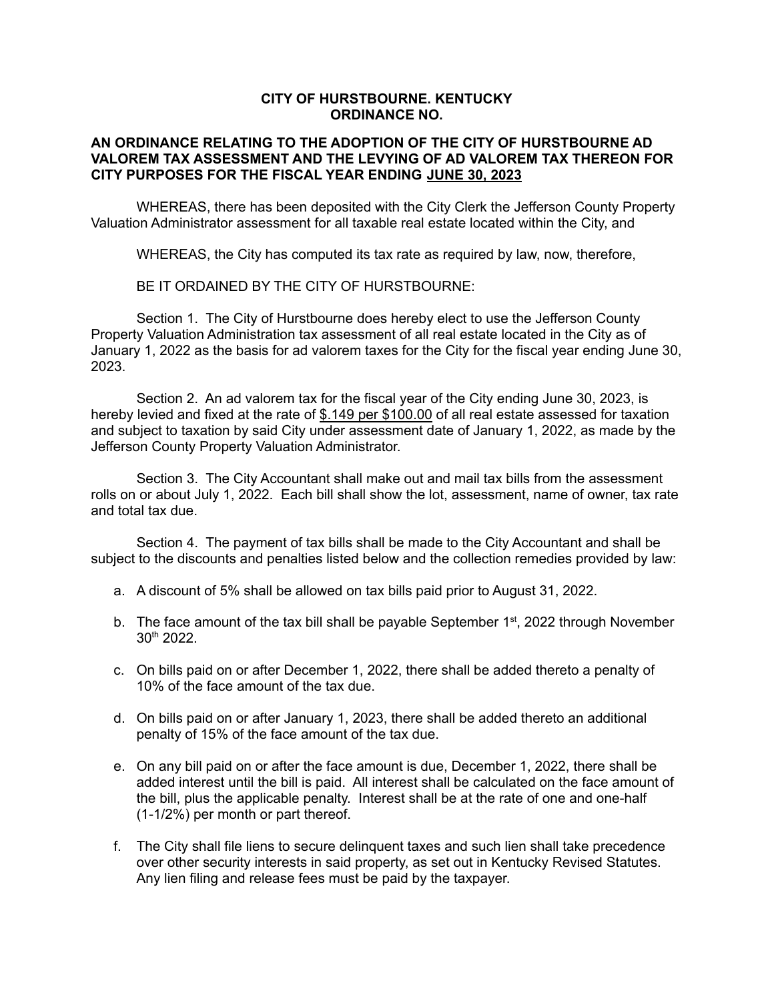## **CITY OF HURSTBOURNE. KENTUCKY ORDINANCE NO.**

## **AN ORDINANCE RELATING TO THE ADOPTION OF THE CITY OF HURSTBOURNE AD VALOREM TAX ASSESSMENT AND THE LEVYING OF AD VALOREM TAX THEREON FOR CITY PURPOSES FOR THE FISCAL YEAR ENDING JUNE 30, 2023**

WHEREAS, there has been deposited with the City Clerk the Jefferson County Property Valuation Administrator assessment for all taxable real estate located within the City, and

WHEREAS, the City has computed its tax rate as required by law, now, therefore,

BE IT ORDAINED BY THE CITY OF HURSTBOURNE:

Section 1. The City of Hurstbourne does hereby elect to use the Jefferson County Property Valuation Administration tax assessment of all real estate located in the City as of January 1, 2022 as the basis for ad valorem taxes for the City for the fiscal year ending June 30, 2023.

Section 2. An ad valorem tax for the fiscal year of the City ending June 30, 2023, is hereby levied and fixed at the rate of \$.149 per \$100.00 of all real estate assessed for taxation and subject to taxation by said City under assessment date of January 1, 2022, as made by the Jefferson County Property Valuation Administrator.

Section 3. The City Accountant shall make out and mail tax bills from the assessment rolls on or about July 1, 2022. Each bill shall show the lot, assessment, name of owner, tax rate and total tax due.

Section 4. The payment of tax bills shall be made to the City Accountant and shall be subject to the discounts and penalties listed below and the collection remedies provided by law:

- a. A discount of 5% shall be allowed on tax bills paid prior to August 31, 2022.
- b. The face amount of the tax bill shall be payable September 1<sup>st</sup>, 2022 through November 30 th 2022.
- c. On bills paid on or after December 1, 2022, there shall be added thereto a penalty of 10% of the face amount of the tax due.
- d. On bills paid on or after January 1, 2023, there shall be added thereto an additional penalty of 15% of the face amount of the tax due.
- e. On any bill paid on or after the face amount is due, December 1, 2022, there shall be added interest until the bill is paid. All interest shall be calculated on the face amount of the bill, plus the applicable penalty. Interest shall be at the rate of one and one-half (1-1/2%) per month or part thereof.
- f. The City shall file liens to secure delinquent taxes and such lien shall take precedence over other security interests in said property, as set out in Kentucky Revised Statutes. Any lien filing and release fees must be paid by the taxpayer.